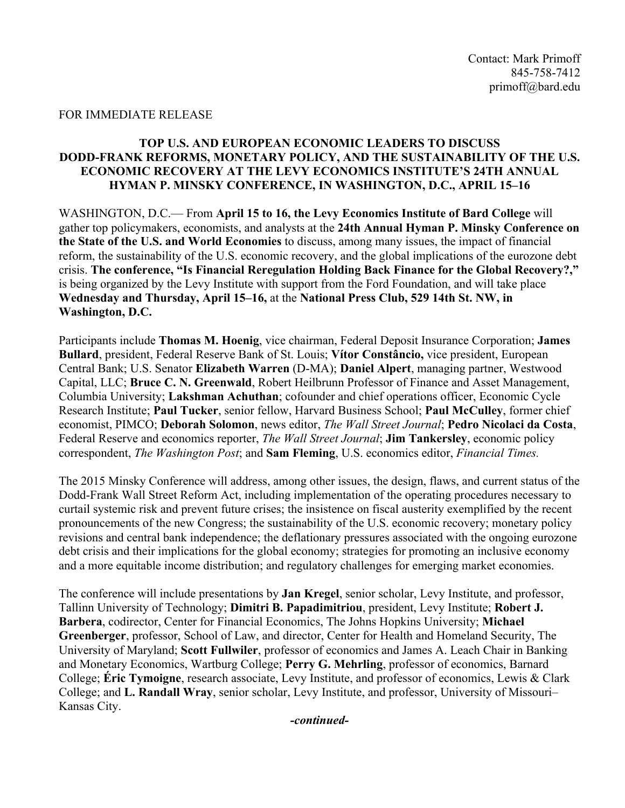#### FOR IMMEDIATE RELEASE

## **TOP U.S. AND EUROPEAN ECONOMIC LEADERS TO DISCUSS DODD-FRANK REFORMS, MONETARY POLICY, AND THE SUSTAINABILITY OF THE U.S. ECONOMIC RECOVERY AT THE LEVY ECONOMICS INSTITUTE'S 24TH ANNUAL HYMAN P. MINSKY CONFERENCE, IN WASHINGTON, D.C., APRIL 15–16**

WASHINGTON, D.C.— From **April 15 to 16, the Levy Economics Institute of Bard College** will gather top policymakers, economists, and analysts at the **24th Annual Hyman P. Minsky Conference on the State of the U.S. and World Economies** to discuss, among many issues, the impact of financial reform, the sustainability of the U.S. economic recovery, and the global implications of the eurozone debt crisis. **The conference, "Is Financial Reregulation Holding Back Finance for the Global Recovery?,"** is being organized by the Levy Institute with support from the Ford Foundation, and will take place **Wednesday and Thursday, April 15–16,** at the **National Press Club, 529 14th St. NW, in Washington, D.C.** 

Participants include **Thomas M. Hoenig**, vice chairman, Federal Deposit Insurance Corporation; **James Bullard**, president, Federal Reserve Bank of St. Louis; **Vítor Constâncio,** vice president, European Central Bank; U.S. Senator **Elizabeth Warren** (D-MA); **Daniel Alpert**, managing partner, Westwood Capital, LLC; **Bruce C. N. Greenwald**, Robert Heilbrunn Professor of Finance and Asset Management, Columbia University; **Lakshman Achuthan**; cofounder and chief operations officer, Economic Cycle Research Institute; **Paul Tucker**, senior fellow, Harvard Business School; **Paul McCulley**, former chief economist, PIMCO; **Deborah Solomon**, news editor, *The Wall Street Journal*; **Pedro Nicolaci da Costa**, Federal Reserve and economics reporter, *The Wall Street Journal*; **Jim Tankersley**, economic policy correspondent, *The Washington Post*; and **Sam Fleming**, U.S. economics editor, *Financial Times.*

The 2015 Minsky Conference will address, among other issues, the design, flaws, and current status of the Dodd-Frank Wall Street Reform Act, including implementation of the operating procedures necessary to curtail systemic risk and prevent future crises; the insistence on fiscal austerity exemplified by the recent pronouncements of the new Congress; the sustainability of the U.S. economic recovery; monetary policy revisions and central bank independence; the deflationary pressures associated with the ongoing eurozone debt crisis and their implications for the global economy; strategies for promoting an inclusive economy and a more equitable income distribution; and regulatory challenges for emerging market economies.

The conference will include presentations by **Jan Kregel**, senior scholar, Levy Institute, and professor, Tallinn University of Technology; **Dimitri B. Papadimitriou**, president, Levy Institute; **Robert J. Barbera**, codirector, Center for Financial Economics, The Johns Hopkins University; **Michael Greenberger**, professor, School of Law, and director, Center for Health and Homeland Security, The University of Maryland; **Scott Fullwiler**, professor of economics and James A. Leach Chair in Banking and Monetary Economics, Wartburg College; **Perry G. Mehrling**, professor of economics, Barnard College; **Éric Tymoigne**, research associate, Levy Institute, and professor of economics, Lewis & Clark College; and **L. Randall Wray**, senior scholar, Levy Institute, and professor, University of Missouri– Kansas City.

*-continued-*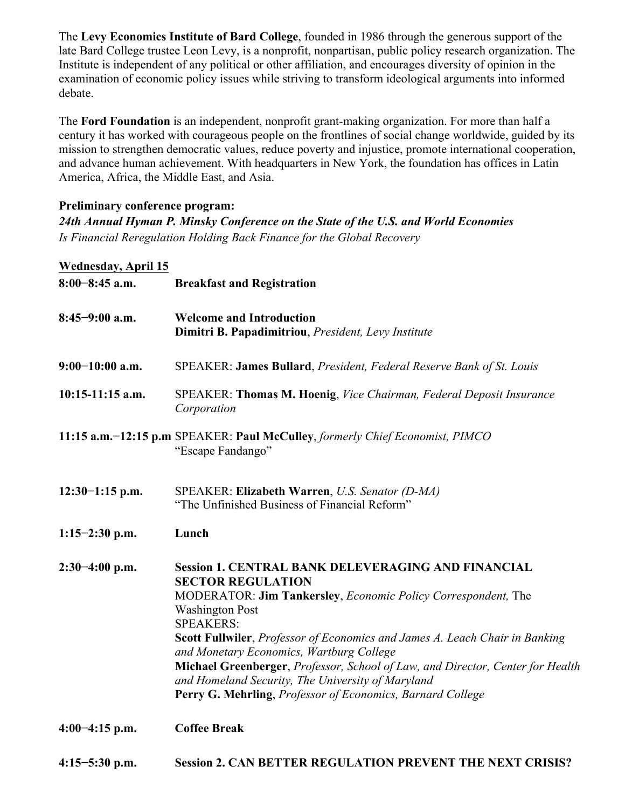The **Levy Economics Institute of Bard College**, founded in 1986 through the generous support of the late Bard College trustee Leon Levy, is a nonprofit, nonpartisan, public policy research organization. The Institute is independent of any political or other affiliation, and encourages diversity of opinion in the examination of economic policy issues while striving to transform ideological arguments into informed debate.

The **Ford Foundation** is an independent, nonprofit grant-making organization. For more than half a century it has worked with courageous people on the frontlines of social change worldwide, guided by its mission to strengthen democratic values, reduce poverty and injustice, promote international cooperation, and advance human achievement. With headquarters in New York, the foundation has offices in Latin America, Africa, the Middle East, and Asia.

## **Preliminary conference program:**

*24th Annual Hyman P. Minsky Conference on the State of the U.S. and World Economies Is Financial Reregulation Holding Back Finance for the Global Recovery*

## **Wednesday, April 15**

| $8:00-8:45$ a.m.   | <b>Breakfast and Registration</b>                                                                                                                                                                                                                                                                                                                                                                                                                                                                                                    |
|--------------------|--------------------------------------------------------------------------------------------------------------------------------------------------------------------------------------------------------------------------------------------------------------------------------------------------------------------------------------------------------------------------------------------------------------------------------------------------------------------------------------------------------------------------------------|
| $8:45-9:00$ a.m.   | <b>Welcome and Introduction</b><br>Dimitri B. Papadimitriou, President, Levy Institute                                                                                                                                                                                                                                                                                                                                                                                                                                               |
| $9:00-10:00$ a.m.  | SPEAKER: James Bullard, President, Federal Reserve Bank of St. Louis                                                                                                                                                                                                                                                                                                                                                                                                                                                                 |
| $10:15-11:15$ a.m. | SPEAKER: Thomas M. Hoenig, Vice Chairman, Federal Deposit Insurance<br>Corporation                                                                                                                                                                                                                                                                                                                                                                                                                                                   |
|                    | 11:15 a.m.-12:15 p.m SPEAKER: Paul McCulley, formerly Chief Economist, PIMCO<br>"Escape Fandango"                                                                                                                                                                                                                                                                                                                                                                                                                                    |
| $12:30-1:15$ p.m.  | SPEAKER: Elizabeth Warren, U.S. Senator (D-MA)<br>"The Unfinished Business of Financial Reform"                                                                                                                                                                                                                                                                                                                                                                                                                                      |
| $1:15-2:30$ p.m.   | Lunch                                                                                                                                                                                                                                                                                                                                                                                                                                                                                                                                |
| $2:30-4:00$ p.m.   | <b>Session 1. CENTRAL BANK DELEVERAGING AND FINANCIAL</b><br><b>SECTOR REGULATION</b><br>MODERATOR: Jim Tankersley, Economic Policy Correspondent, The<br><b>Washington Post</b><br><b>SPEAKERS:</b><br>Scott Fullwiler, Professor of Economics and James A. Leach Chair in Banking<br>and Monetary Economics, Wartburg College<br>Michael Greenberger, Professor, School of Law, and Director, Center for Health<br>and Homeland Security, The University of Maryland<br>Perry G. Mehrling, Professor of Economics, Barnard College |
| $4:00-4:15$ p.m.   | <b>Coffee Break</b>                                                                                                                                                                                                                                                                                                                                                                                                                                                                                                                  |

**4:15−5:30 p.m. Session 2. CAN BETTER REGULATION PREVENT THE NEXT CRISIS?**